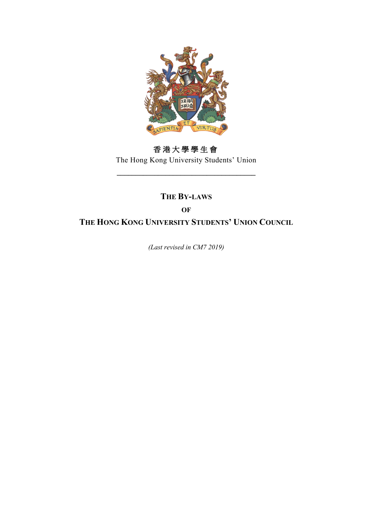

# 香港大學學生會

The Hong Kong University Students' Union **\_\_\_\_\_\_\_\_\_\_\_\_\_\_\_\_\_\_\_\_\_\_\_\_\_\_\_\_\_\_\_\_\_\_\_\_\_**

## **THE BY-LAWS**

**OF**

**THE HONG KONG UNIVERSITY STUDENTS' UNION COUNCIL**

*(Last revised in CM7 2019)*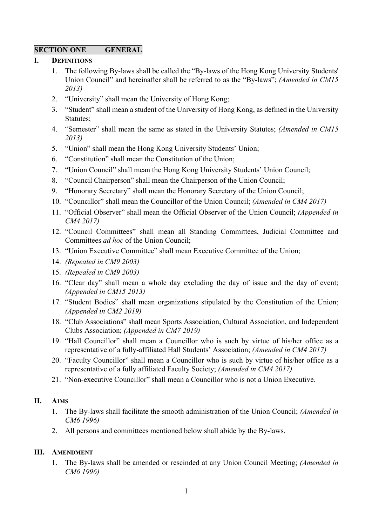## **SECTION ONE GENERAL**

## **I. DEFINITIONS**

- 1. The following By-laws shall be called the "By-laws of the Hong Kong University Students' Union Council" and hereinafter shall be referred to as the "By-laws"; *(Amended in CM15 2013)*
- 2. "University" shall mean the University of Hong Kong;
- 3. "Student" shall mean a student of the University of Hong Kong, as defined in the University Statutes;
- 4. "Semester" shall mean the same as stated in the University Statutes; *(Amended in CM15 2013)*
- 5. "Union" shall mean the Hong Kong University Students' Union;
- 6. "Constitution" shall mean the Constitution of the Union;
- 7. "Union Council" shall mean the Hong Kong University Students' Union Council;
- 8. "Council Chairperson" shall mean the Chairperson of the Union Council;
- 9. "Honorary Secretary" shall mean the Honorary Secretary of the Union Council;
- 10. "Councillor" shall mean the Councillor of the Union Council; *(Amended in CM4 2017)*
- 11. "Official Observer" shall mean the Official Observer of the Union Council; *(Appended in CM4 2017)*
- 12. "Council Committees" shall mean all Standing Committees, Judicial Committee and Committees *ad hoc* of the Union Council;
- 13. "Union Executive Committee" shall mean Executive Committee of the Union;
- 14. *(Repealed in CM9 2003)*
- 15. *(Repealed in CM9 2003)*
- 16. "Clear day" shall mean a whole day excluding the day of issue and the day of event; *(Appended in CM15 2013)*
- 17. "Student Bodies" shall mean organizations stipulated by the Constitution of the Union; *(Appended in CM2 2019)*
- 18. "Club Associations" shall mean Sports Association, Cultural Association, and Independent Clubs Association; *(Appended in CM7 2019)*
- 19. "Hall Councillor" shall mean a Councillor who is such by virtue of his/her office as a representative of a fully-affiliated Hall Students' Association; *(Amended in CM4 2017)*
- 20. "Faculty Councillor" shall mean a Councillor who is such by virtue of his/her office as a representative of a fully affiliated Faculty Society; *(Amended in CM4 2017)*
- 21. "Non-executive Councillor" shall mean a Councillor who is not a Union Executive.

## **II. AIMS**

- 1. The By-laws shall facilitate the smooth administration of the Union Council; *(Amended in CM6 1996)*
- 2. All persons and committees mentioned below shall abide by the By-laws.

## **III. AMENDMENT**

1. The By-laws shall be amended or rescinded at any Union Council Meeting; *(Amended in CM6 1996)*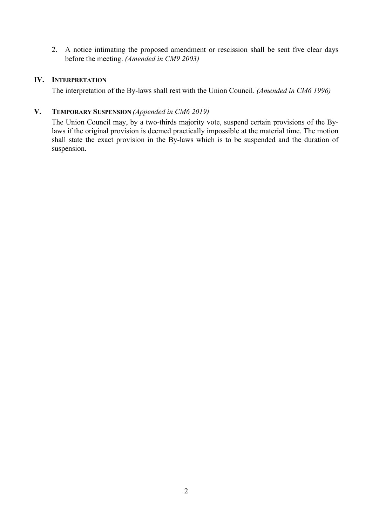2. A notice intimating the proposed amendment or rescission shall be sent five clear days before the meeting. *(Amended in CM9 2003)*

#### **IV. INTERPRETATION**

The interpretation of the By-laws shall rest with the Union Council. *(Amended in CM6 1996)*

#### **V. TEMPORARY SUSPENSION** *(Appended in CM6 2019)*

The Union Council may, by a two-thirds majority vote, suspend certain provisions of the Bylaws if the original provision is deemed practically impossible at the material time. The motion shall state the exact provision in the By-laws which is to be suspended and the duration of suspension.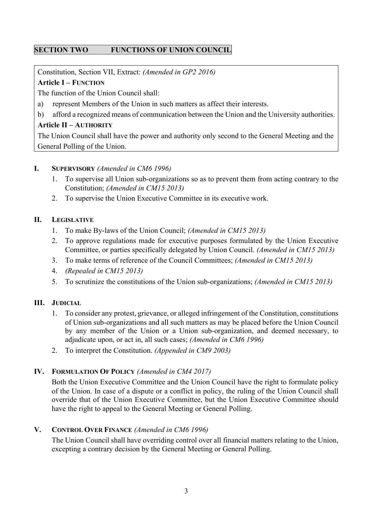## **SECTION TWO FUNCTIONS OF UNION COUNCIL**

Constitution, Section VII, Extract: *(Amended in GP2 2016)*

## **Article I – FUNCTION**

The function of the Union Council shall:

- a) represent Members of the Union in such matters as affect their interests.
- b) afford a recognized means of communication between the Union and the University authorities.

#### **Article II – AUTHORITY**

The Union Council shall have the power and authority only second to the General Meeting and the General Polling of the Union.

## **I. SUPERVISORY** *(Amended in CM6 1996)*

- 1. To supervise all Union sub-organizations so as to prevent them from acting contrary to the Constitution; *(Amended in CM15 2013)*
- 2. To supervise the Union Executive Committee in its executive work.

## **II. LEGISLATIVE**

- 1. To make By-laws of the Union Council; *(Amended in CM15 2013)*
- 2. To approve regulations made for executive purposes formulated by the Union Executive Committee, or parties specifically delegated by Union Council. *(Amended in CM15 2013)*
- 3. To make terms of reference of the Council Committees; *(Amended in CM15 2013)*
- 4. *(Repealed in CM15 2013)*
- 5. To scrutinize the constitutions of the Union sub-organizations; *(Amended in CM15 2013)*

## **III. JUDICIAL**

- 1. To consider any protest, grievance, or alleged infringement of the Constitution, constitutions of Union sub-organizations and all such matters as may be placed before the Union Council by any member of the Union or a Union sub-organization, and deemed necessary, to adjudicate upon, or act in, all such cases; *(Amended in CM6 1996)*
- 2. To interpret the Constitution. *(Appended in CM9 2003)*

## **IV. FORMULATION OF POLICY** *(Amended in CM4 2017)*

Both the Union Executive Committee and the Union Council have the right to formulate policy of the Union. In case of a dispute or a conflict in policy, the ruling of the Union Council shall override that of the Union Executive Committee, but the Union Executive Committee should have the right to appeal to the General Meeting or General Polling.

## **V. CONTROL OVER FINANCE** *(Amended in CM6 1996)*

The Union Council shall have overriding control over all financial matters relating to the Union, excepting a contrary decision by the General Meeting or General Polling.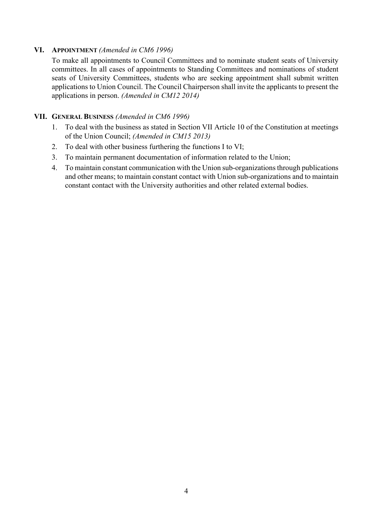## **VI. APPOINTMENT** *(Amended in CM6 1996)*

To make all appointments to Council Committees and to nominate student seats of University committees. In all cases of appointments to Standing Committees and nominations of student seats of University Committees, students who are seeking appointment shall submit written applications to Union Council. The Council Chairperson shall invite the applicants to present the applications in person. *(Amended in CM12 2014)*

## **VII. GENERAL BUSINESS** *(Amended in CM6 1996)*

- 1. To deal with the business as stated in Section VII Article 10 of the Constitution at meetings of the Union Council; *(Amended in CM15 2013)*
- 2. To deal with other business furthering the functions I to VI;
- 3. To maintain permanent documentation of information related to the Union;
- 4. To maintain constant communication with the Union sub-organizations through publications and other means; to maintain constant contact with Union sub-organizations and to maintain constant contact with the University authorities and other related external bodies.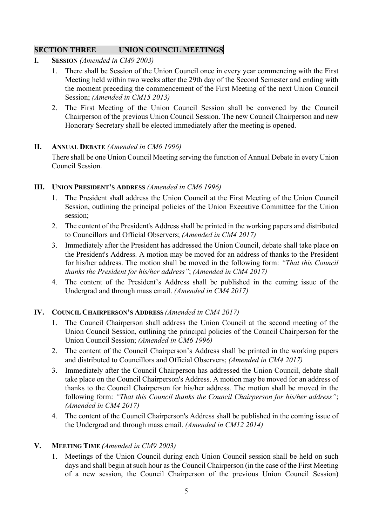## **SECTION THREE UNION COUNCIL MEETINGS**

- **I. SESSION** *(Amended in CM9 2003)*
	- 1. There shall be Session of the Union Council once in every year commencing with the First Meeting held within two weeks after the 29th day of the Second Semester and ending with the moment preceding the commencement of the First Meeting of the next Union Council Session; *(Amended in CM15 2013)*
	- 2. The First Meeting of the Union Council Session shall be convened by the Council Chairperson of the previous Union Council Session. The new Council Chairperson and new Honorary Secretary shall be elected immediately after the meeting is opened.

## **II. ANNUAL DEBATE** *(Amended in CM6 1996)*

There shall be one Union Council Meeting serving the function of Annual Debate in every Union Council Session.

## **III. UNION PRESIDENT'S ADDRESS** *(Amended in CM6 1996)*

- 1. The President shall address the Union Council at the First Meeting of the Union Council Session, outlining the principal policies of the Union Executive Committee for the Union session;
- 2. The content of the President's Address shall be printed in the working papers and distributed to Councillors and Official Observers; *(Amended in CM4 2017)*
- 3. Immediately after the President has addressed the Union Council, debate shall take place on the President's Address. A motion may be moved for an address of thanks to the President for his/her address. The motion shall be moved in the following form: *"That this Council thanks the President for his/her address"*; *(Amended in CM4 2017)*
- 4. The content of the President's Address shall be published in the coming issue of the Undergrad and through mass email. *(Amended in CM4 2017)*

## **IV. COUNCIL CHAIRPERSON'S ADDRESS** *(Amended in CM4 2017)*

- 1. The Council Chairperson shall address the Union Council at the second meeting of the Union Council Session, outlining the principal policies of the Council Chairperson for the Union Council Session; *(Amended in CM6 1996)*
- 2. The content of the Council Chairperson's Address shall be printed in the working papers and distributed to Councillors and Official Observers; *(Amended in CM4 2017)*
- 3. Immediately after the Council Chairperson has addressed the Union Council, debate shall take place on the Council Chairperson's Address. A motion may be moved for an address of thanks to the Council Chairperson for his/her address. The motion shall be moved in the following form: *"That this Council thanks the Council Chairperson for his/her address"*; *(Amended in CM4 2017)*
- 4. The content of the Council Chairperson's Address shall be published in the coming issue of the Undergrad and through mass email. *(Amended in CM12 2014)*

## **V. MEETING TIME** *(Amended in CM9 2003)*

1. Meetings of the Union Council during each Union Council session shall be held on such days and shall begin at such hour as the Council Chairperson (in the case of the First Meeting of a new session, the Council Chairperson of the previous Union Council Session)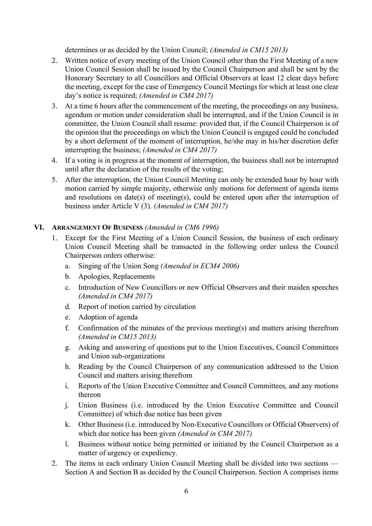determines or as decided by the Union Council; *(Amended in CM15 2013)*

- 2. Written notice of every meeting of the Union Council other than the First Meeting of a new Union Council Session shall be issued by the Council Chairperson and shall be sent by the Honorary Secretary to all Councillors and Official Observers at least 12 clear days before the meeting, except for the case of Emergency Council Meetings for which at least one clear day's notice is required; *(Amended in CM4 2017)*
- 3. At a time 6 hours after the commencement of the meeting, the proceedings on any business, agendum or motion under consideration shall be interrupted, and if the Union Council is in committee, the Union Council shall resume: provided that, if the Council Chairperson is of the opinion that the proceedings on which the Union Council is engaged could be concluded by a short deferment of the moment of interruption, he/she may in his/her discretion defer interrupting the business; *(Amended in CM4 2017)*
- 4. If a voting is in progress at the moment of interruption, the business shall not be interrupted until after the declaration of the results of the voting;
- 5. After the interruption, the Union Council Meeting can only be extended hour by hour with motion carried by simple majority, otherwise only motions for deferment of agenda items and resolutions on date(s) of meeting(s), could be entered upon after the interruption of business under Article V (3). *(Amended in CM4 2017)*

## **VI. ARRANGEMENT OF BUSINESS** *(Amended in CM6 1996)*

- 1. Except for the First Meeting of a Union Council Session, the business of each ordinary Union Council Meeting shall be transacted in the following order unless the Council Chairperson orders otherwise:
	- a. Singing of the Union Song *(Amended in ECM4 2006)*
	- b. Apologies, Replacements
	- c. Introduction of New Councillors or new Official Observers and their maiden speeches *(Amended in CM4 2017)*
	- d. Report of motion carried by circulation
	- e. Adoption of agenda
	- f. Confirmation of the minutes of the previous meeting(s) and matters arising therefrom *(Amended in CM15 2013)*
	- g. Asking and answering of questions put to the Union Executives, Council Committees and Union sub-organizations
	- h. Reading by the Council Chairperson of any communication addressed to the Union Council and matters arising therefrom
	- i. Reports of the Union Executive Committee and Council Committees, and any motions thereon
	- j. Union Business (i.e. introduced by the Union Executive Committee and Council Committee) of which due notice has been given
	- k. Other Business (i.e. introduced by Non-Executive Councillors or Official Observers) of which due notice has been given *(Amended in CM4 2017)*
	- l. Business without notice being permitted or initiated by the Council Chairperson as a matter of urgency or expediency.
- 2. The items in each ordinary Union Council Meeting shall be divided into two sections Section A and Section B as decided by the Council Chairperson. Section A comprises items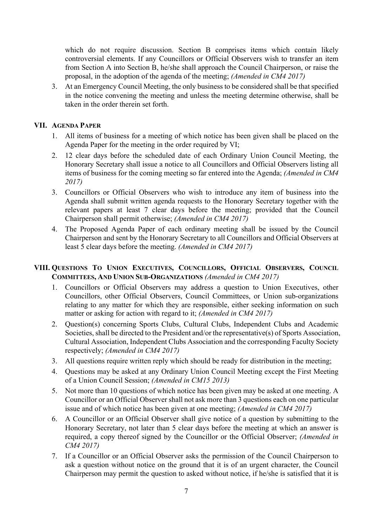which do not require discussion. Section B comprises items which contain likely controversial elements. If any Councillors or Official Observers wish to transfer an item from Section A into Section B, he/she shall approach the Council Chairperson, or raise the proposal, in the adoption of the agenda of the meeting; *(Amended in CM4 2017)*

3. At an Emergency Council Meeting, the only business to be considered shall be that specified in the notice convening the meeting and unless the meeting determine otherwise, shall be taken in the order therein set forth.

#### **VII. AGENDA PAPER**

- 1. All items of business for a meeting of which notice has been given shall be placed on the Agenda Paper for the meeting in the order required by VI;
- 2. 12 clear days before the scheduled date of each Ordinary Union Council Meeting, the Honorary Secretary shall issue a notice to all Councillors and Official Observers listing all items of business for the coming meeting so far entered into the Agenda; *(Amended in CM4 2017)*
- 3. Councillors or Official Observers who wish to introduce any item of business into the Agenda shall submit written agenda requests to the Honorary Secretary together with the relevant papers at least 7 clear days before the meeting; provided that the Council Chairperson shall permit otherwise; *(Amended in CM4 2017)*
- 4. The Proposed Agenda Paper of each ordinary meeting shall be issued by the Council Chairperson and sent by the Honorary Secretary to all Councillors and Official Observers at least 5 clear days before the meeting. *(Amended in CM4 2017)*

## **VIII. QUESTIONS TO UNION EXECUTIVES, COUNCILLORS, OFFICIAL OBSERVERS, COUNCIL COMMITTEES, AND UNION SUB-ORGANIZATIONS** *(Amended in CM4 2017)*

- 1. Councillors or Official Observers may address a question to Union Executives, other Councillors, other Official Observers, Council Committees, or Union sub-organizations relating to any matter for which they are responsible, either seeking information on such matter or asking for action with regard to it; *(Amended in CM4 2017)*
- 2. Question(s) concerning Sports Clubs, Cultural Clubs, Independent Clubs and Academic Societies, shall be directed to the President and/or the representative(s) of Sports Association, Cultural Association, Independent Clubs Association and the corresponding Faculty Society respectively; *(Amended in CM4 2017)*
- 3. All questions require written reply which should be ready for distribution in the meeting;
- 4. Questions may be asked at any Ordinary Union Council Meeting except the First Meeting of a Union Council Session; *(Amended in CM15 2013)*
- 5. Not more than 10 questions of which notice has been given may be asked at one meeting. A Councillor or an Official Observer shall not ask more than 3 questions each on one particular issue and of which notice has been given at one meeting; *(Amended in CM4 2017)*
- 6. A Councillor or an Official Observer shall give notice of a question by submitting to the Honorary Secretary, not later than 5 clear days before the meeting at which an answer is required, a copy thereof signed by the Councillor or the Official Observer; *(Amended in CM4 2017)*
- 7. If a Councillor or an Official Observer asks the permission of the Council Chairperson to ask a question without notice on the ground that it is of an urgent character, the Council Chairperson may permit the question to asked without notice, if he/she is satisfied that it is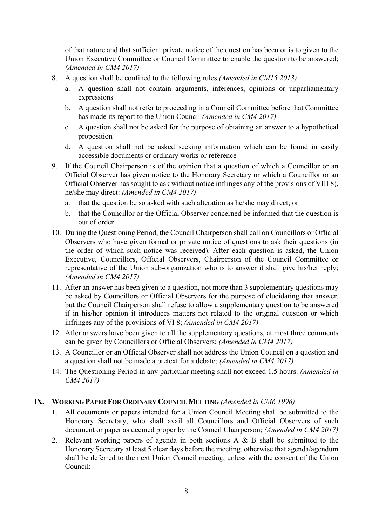of that nature and that sufficient private notice of the question has been or is to given to the Union Executive Committee or Council Committee to enable the question to be answered; *(Amended in CM4 2017)*

- 8. A question shall be confined to the following rules *(Amended in CM15 2013)*
	- a. A question shall not contain arguments, inferences, opinions or unparliamentary expressions
	- b. A question shall not refer to proceeding in a Council Committee before that Committee has made its report to the Union Council *(Amended in CM4 2017)*
	- c. A question shall not be asked for the purpose of obtaining an answer to a hypothetical proposition
	- d. A question shall not be asked seeking information which can be found in easily accessible documents or ordinary works or reference
- 9. If the Council Chairperson is of the opinion that a question of which a Councillor or an Official Observer has given notice to the Honorary Secretary or which a Councillor or an Official Observer has sought to ask without notice infringes any of the provisions of VIII 8), he/she may direct: *(Amended in CM4 2017)*
	- a. that the question be so asked with such alteration as he/she may direct; or
	- b. that the Councillor or the Official Observer concerned be informed that the question is out of order
- 10. During the Questioning Period, the Council Chairperson shall call on Councillors or Official Observers who have given formal or private notice of questions to ask their questions (in the order of which such notice was received). After each question is asked, the Union Executive, Councillors, Official Observers, Chairperson of the Council Committee or representative of the Union sub-organization who is to answer it shall give his/her reply; *(Amended in CM4 2017)*
- 11. After an answer has been given to a question, not more than 3 supplementary questions may be asked by Councillors or Official Observers for the purpose of elucidating that answer, but the Council Chairperson shall refuse to allow a supplementary question to be answered if in his/her opinion it introduces matters not related to the original question or which infringes any of the provisions of VI 8; *(Amended in CM4 2017)*
- 12. After answers have been given to all the supplementary questions, at most three comments can be given by Councillors or Official Observers; *(Amended in CM4 2017)*
- 13. A Councillor or an Official Observer shall not address the Union Council on a question and a question shall not be made a pretext for a debate; *(Amended in CM4 2017)*
- 14. The Questioning Period in any particular meeting shall not exceed 1.5 hours. *(Amended in CM4 2017)*

## **IX. WORKING PAPER FOR ORDINARY COUNCIL MEETING** *(Amended in CM6 1996)*

- 1. All documents or papers intended for a Union Council Meeting shall be submitted to the Honorary Secretary, who shall avail all Councillors and Official Observers of such document or paper as deemed proper by the Council Chairperson; *(Amended in CM4 2017)*
- 2. Relevant working papers of agenda in both sections A & B shall be submitted to the Honorary Secretary at least 5 clear days before the meeting, otherwise that agenda/agendum shall be deferred to the next Union Council meeting, unless with the consent of the Union Council;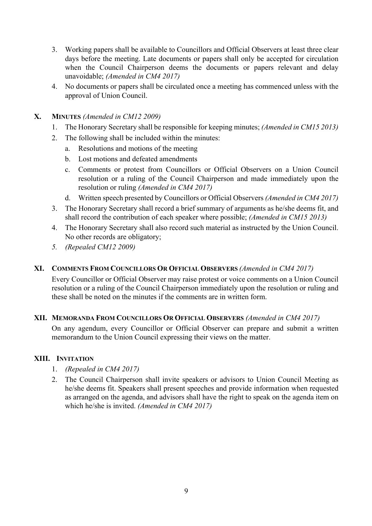- 3. Working papers shall be available to Councillors and Official Observers at least three clear days before the meeting. Late documents or papers shall only be accepted for circulation when the Council Chairperson deems the documents or papers relevant and delay unavoidable; *(Amended in CM4 2017)*
- 4. No documents or papers shall be circulated once a meeting has commenced unless with the approval of Union Council.
- **X. MINUTES** *(Amended in CM12 2009)*
	- 1. The Honorary Secretary shall be responsible for keeping minutes; *(Amended in CM15 2013)*
	- 2. The following shall be included within the minutes:
		- a. Resolutions and motions of the meeting
		- b. Lost motions and defeated amendments
		- c. Comments or protest from Councillors or Official Observers on a Union Council resolution or a ruling of the Council Chairperson and made immediately upon the resolution or ruling *(Amended in CM4 2017)*
		- d. Written speech presented by Councillors or Official Observers *(Amended in CM4 2017)*
	- 3. The Honorary Secretary shall record a brief summary of arguments as he/she deems fit, and shall record the contribution of each speaker where possible; *(Amended in CM15 2013)*
	- 4. The Honorary Secretary shall also record such material as instructed by the Union Council. No other records are obligatory;
	- *5. (Repealed CM12 2009)*

## **XI. COMMENTS FROM COUNCILLORS OR OFFICIAL OBSERVERS** *(Amended in CM4 2017)*

Every Councillor or Official Observer may raise protest or voice comments on a Union Council resolution or a ruling of the Council Chairperson immediately upon the resolution or ruling and these shall be noted on the minutes if the comments are in written form.

## **XII. MEMORANDA FROM COUNCILLORS OR OFFICIAL OBSERVERS** *(Amended in CM4 2017)*

On any agendum, every Councillor or Official Observer can prepare and submit a written memorandum to the Union Council expressing their views on the matter.

## **XIII. INVITATION**

- 1. *(Repealed in CM4 2017)*
- 2. The Council Chairperson shall invite speakers or advisors to Union Council Meeting as he/she deems fit. Speakers shall present speeches and provide information when requested as arranged on the agenda, and advisors shall have the right to speak on the agenda item on which he/she is invited. *(Amended in CM4 2017)*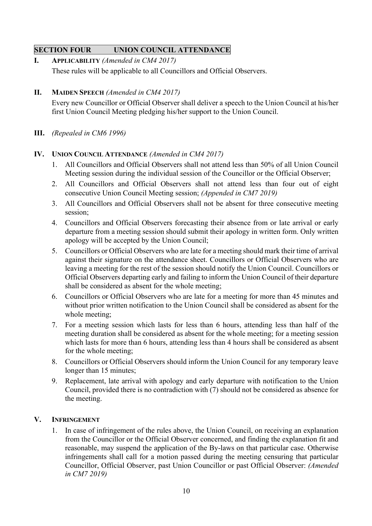## **SECTION FOUR UNION COUNCIL ATTENDANCE**

- **I. APPLICABILITY** *(Amended in CM4 2017)* These rules will be applicable to all Councillors and Official Observers.
- **II. MAIDEN SPEECH** *(Amended in CM4 2017)*

Every new Councillor or Official Observer shall deliver a speech to the Union Council at his/her first Union Council Meeting pledging his/her support to the Union Council.

**III.** *(Repealed in CM6 1996)*

## **IV. UNION COUNCIL ATTENDANCE** *(Amended in CM4 2017)*

- 1. All Councillors and Official Observers shall not attend less than 50% of all Union Council Meeting session during the individual session of the Councillor or the Official Observer;
- 2. All Councillors and Official Observers shall not attend less than four out of eight consecutive Union Council Meeting session; *(Appended in CM7 2019)*
- 3. All Councillors and Official Observers shall not be absent for three consecutive meeting session;
- 4. Councillors and Official Observers forecasting their absence from or late arrival or early departure from a meeting session should submit their apology in written form. Only written apology will be accepted by the Union Council;
- 5. Councillors or Official Observers who are late for a meeting should mark their time of arrival against their signature on the attendance sheet. Councillors or Official Observers who are leaving a meeting for the rest of the session should notify the Union Council. Councillors or Official Observers departing early and failing to inform the Union Council of their departure shall be considered as absent for the whole meeting;
- 6. Councillors or Official Observers who are late for a meeting for more than 45 minutes and without prior written notification to the Union Council shall be considered as absent for the whole meeting;
- 7. For a meeting session which lasts for less than 6 hours, attending less than half of the meeting duration shall be considered as absent for the whole meeting; for a meeting session which lasts for more than 6 hours, attending less than 4 hours shall be considered as absent for the whole meeting;
- 8. Councillors or Official Observers should inform the Union Council for any temporary leave longer than 15 minutes;
- 9. Replacement, late arrival with apology and early departure with notification to the Union Council, provided there is no contradiction with (7) should not be considered as absence for the meeting.

## **V. INFRINGEMENT**

1. In case of infringement of the rules above, the Union Council, on receiving an explanation from the Councillor or the Official Observer concerned, and finding the explanation fit and reasonable, may suspend the application of the By-laws on that particular case. Otherwise infringements shall call for a motion passed during the meeting censuring that particular Councillor, Official Observer, past Union Councillor or past Official Observer: *(Amended in CM7 2019)*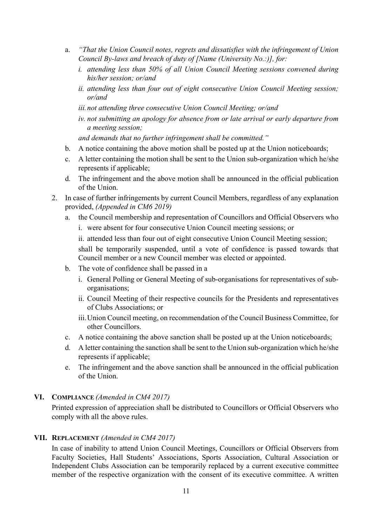- a. *"That the Union Council notes, regrets and dissatisfies with the infringement of Union Council By-laws and breach of duty of [Name (University No.:)], for:*
	- *i. attending less than 50% of all Union Council Meeting sessions convened during his/her session; or/and*
	- *ii. attending less than four out of eight consecutive Union Council Meeting session; or/and*
	- *iii.not attending three consecutive Union Council Meeting; or/and*
	- *iv. not submitting an apology for absence from or late arrival or early departure from a meeting session;*

*and demands that no further infringement shall be committed."*

- b. A notice containing the above motion shall be posted up at the Union noticeboards;
- c. A letter containing the motion shall be sent to the Union sub-organization which he/she represents if applicable;
- d. The infringement and the above motion shall be announced in the official publication of the Union.
- 2. In case of further infringements by current Council Members, regardless of any explanation provided, *(Appended in CM6 2019)*
	- a. the Council membership and representation of Councillors and Official Observers who
		- i. were absent for four consecutive Union Council meeting sessions; or
		- ii. attended less than four out of eight consecutive Union Council Meeting session;

shall be temporarily suspended, until a vote of confidence is passed towards that Council member or a new Council member was elected or appointed.

- b. The vote of confidence shall be passed in a
	- i. General Polling or General Meeting of sub-organisations for representatives of suborganisations;
	- ii. Council Meeting of their respective councils for the Presidents and representatives of Clubs Associations; or
	- iii.Union Council meeting, on recommendation of the Council Business Committee, for other Councillors.
- c. A notice containing the above sanction shall be posted up at the Union noticeboards;
- d. A letter containing the sanction shall be sent to the Union sub-organization which he/she represents if applicable;
- e. The infringement and the above sanction shall be announced in the official publication of the Union.

## **VI. COMPLIANCE** *(Amended in CM4 2017)*

Printed expression of appreciation shall be distributed to Councillors or Official Observers who comply with all the above rules.

## **VII. REPLACEMENT** *(Amended in CM4 2017)*

In case of inability to attend Union Council Meetings, Councillors or Official Observers from Faculty Societies, Hall Students' Associations, Sports Association, Cultural Association or Independent Clubs Association can be temporarily replaced by a current executive committee member of the respective organization with the consent of its executive committee. A written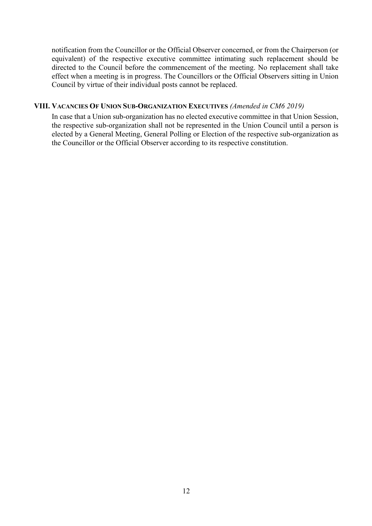notification from the Councillor or the Official Observer concerned, or from the Chairperson (or equivalent) of the respective executive committee intimating such replacement should be directed to the Council before the commencement of the meeting. No replacement shall take effect when a meeting is in progress. The Councillors or the Official Observers sitting in Union Council by virtue of their individual posts cannot be replaced.

#### **VIII. VACANCIES OF UNION SUB-ORGANIZATION EXECUTIVES** *(Amended in CM6 2019)*

In case that a Union sub-organization has no elected executive committee in that Union Session, the respective sub-organization shall not be represented in the Union Council until a person is elected by a General Meeting, General Polling or Election of the respective sub-organization as the Councillor or the Official Observer according to its respective constitution.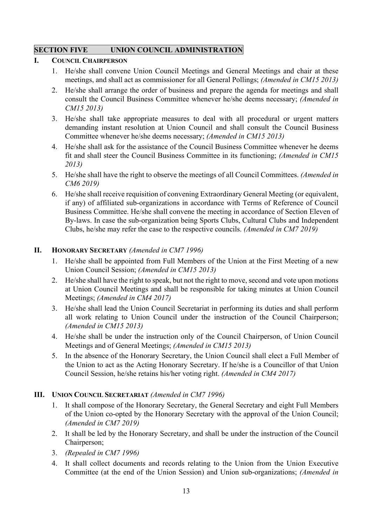## **SECTION FIVE UNION COUNCIL ADMINISTRATION**

## **I. COUNCIL CHAIRPERSON**

- 1. He/she shall convene Union Council Meetings and General Meetings and chair at these meetings, and shall act as commissioner for all General Pollings; *(Amended in CM15 2013)*
- 2. He/she shall arrange the order of business and prepare the agenda for meetings and shall consult the Council Business Committee whenever he/she deems necessary; *(Amended in CM15 2013)*
- 3. He/she shall take appropriate measures to deal with all procedural or urgent matters demanding instant resolution at Union Council and shall consult the Council Business Committee whenever he/she deems necessary; *(Amended in CM15 2013)*
- 4. He/she shall ask for the assistance of the Council Business Committee whenever he deems fit and shall steer the Council Business Committee in its functioning; *(Amended in CM15 2013)*
- 5. He/she shall have the right to observe the meetings of all Council Committees. *(Amended in CM6 2019)*
- 6. He/she shall receive requisition of convening Extraordinary General Meeting (or equivalent, if any) of affiliated sub-organizations in accordance with Terms of Reference of Council Business Committee. He/she shall convene the meeting in accordance of Section Eleven of By-laws. In case the sub-organization being Sports Clubs, Cultural Clubs and Independent Clubs, he/she may refer the case to the respective councils. *(Amended in CM7 2019)*

## **II. HONORARY SECRETARY** *(Amended in CM7 1996)*

- 1. He/she shall be appointed from Full Members of the Union at the First Meeting of a new Union Council Session; *(Amended in CM15 2013)*
- 2. He/she shall have the right to speak, but not the right to move, second and vote upon motions at Union Council Meetings and shall be responsible for taking minutes at Union Council Meetings; *(Amended in CM4 2017)*
- 3. He/she shall lead the Union Council Secretariat in performing its duties and shall perform all work relating to Union Council under the instruction of the Council Chairperson; *(Amended in CM15 2013)*
- 4. He/she shall be under the instruction only of the Council Chairperson, of Union Council Meetings and of General Meetings; *(Amended in CM15 2013)*
- 5. In the absence of the Honorary Secretary, the Union Council shall elect a Full Member of the Union to act as the Acting Honorary Secretary. If he/she is a Councillor of that Union Council Session, he/she retains his/her voting right. *(Amended in CM4 2017)*

## **III. UNION COUNCIL SECRETARIAT** *(Amended in CM7 1996)*

- 1. It shall compose of the Honorary Secretary, the General Secretary and eight Full Members of the Union co-opted by the Honorary Secretary with the approval of the Union Council; *(Amended in CM7 2019)*
- 2. It shall be led by the Honorary Secretary, and shall be under the instruction of the Council Chairperson;
- 3. *(Repealed in CM7 1996)*
- 4. It shall collect documents and records relating to the Union from the Union Executive Committee (at the end of the Union Session) and Union sub-organizations; *(Amended in*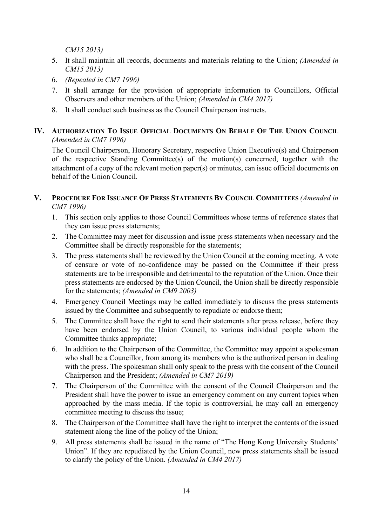*CM15 2013)*

- 5. It shall maintain all records, documents and materials relating to the Union; *(Amended in CM15 2013)*
- 6. *(Repealed in CM7 1996)*
- 7. It shall arrange for the provision of appropriate information to Councillors, Official Observers and other members of the Union; *(Amended in CM4 2017)*
- 8. It shall conduct such business as the Council Chairperson instructs.
- **IV. AUTHORIZATION TO ISSUE OFFICIAL DOCUMENTS ON BEHALF OF THE UNION COUNCIL** *(Amended in CM7 1996)*

The Council Chairperson, Honorary Secretary, respective Union Executive(s) and Chairperson of the respective Standing Committee(s) of the motion(s) concerned, together with the attachment of a copy of the relevant motion paper(s) or minutes, can issue official documents on behalf of the Union Council.

- **V. PROCEDURE FOR ISSUANCE OF PRESS STATEMENTS BY COUNCIL COMMITTEES** *(Amended in CM7 1996)*
	- 1. This section only applies to those Council Committees whose terms of reference states that they can issue press statements;
	- 2. The Committee may meet for discussion and issue press statements when necessary and the Committee shall be directly responsible for the statements;
	- 3. The press statements shall be reviewed by the Union Council at the coming meeting. A vote of censure or vote of no-confidence may be passed on the Committee if their press statements are to be irresponsible and detrimental to the reputation of the Union. Once their press statements are endorsed by the Union Council, the Union shall be directly responsible for the statements; *(Amended in CM9 2003)*
	- 4. Emergency Council Meetings may be called immediately to discuss the press statements issued by the Committee and subsequently to repudiate or endorse them;
	- 5. The Committee shall have the right to send their statements after press release, before they have been endorsed by the Union Council, to various individual people whom the Committee thinks appropriate;
	- 6. In addition to the Chairperson of the Committee, the Committee may appoint a spokesman who shall be a Councillor, from among its members who is the authorized person in dealing with the press. The spokesman shall only speak to the press with the consent of the Council Chairperson and the President; *(Amended in CM7 2019)*
	- 7. The Chairperson of the Committee with the consent of the Council Chairperson and the President shall have the power to issue an emergency comment on any current topics when approached by the mass media. If the topic is controversial, he may call an emergency committee meeting to discuss the issue;
	- 8. The Chairperson of the Committee shall have the right to interpret the contents of the issued statement along the line of the policy of the Union;
	- 9. All press statements shall be issued in the name of "The Hong Kong University Students' Union". If they are repudiated by the Union Council, new press statements shall be issued to clarify the policy of the Union. *(Amended in CM4 2017)*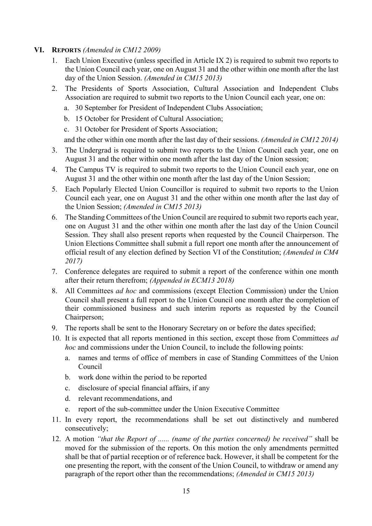- **VI. REPORTS** *(Amended in CM12 2009)*
	- 1. Each Union Executive (unless specified in Article IX 2) is required to submit two reports to the Union Council each year, one on August 31 and the other within one month after the last day of the Union Session. *(Amended in CM15 2013)*
	- 2. The Presidents of Sports Association, Cultural Association and Independent Clubs Association are required to submit two reports to the Union Council each year, one on:
		- a. 30 September for President of Independent Clubs Association;
		- b. 15 October for President of Cultural Association;
		- c. 31 October for President of Sports Association;

and the other within one month after the last day of their sessions. *(Amended in CM12 2014)*

- 3. The Undergrad is required to submit two reports to the Union Council each year, one on August 31 and the other within one month after the last day of the Union session;
- 4. The Campus TV is required to submit two reports to the Union Council each year, one on August 31 and the other within one month after the last day of the Union Session;
- 5. Each Popularly Elected Union Councillor is required to submit two reports to the Union Council each year, one on August 31 and the other within one month after the last day of the Union Session; *(Amended in CM15 2013)*
- 6. The Standing Committees of the Union Council are required to submit two reports each year, one on August 31 and the other within one month after the last day of the Union Council Session. They shall also present reports when requested by the Council Chairperson. The Union Elections Committee shall submit a full report one month after the announcement of official result of any election defined by Section VI of the Constitution; *(Amended in CM4 2017)*
- 7. Conference delegates are required to submit a report of the conference within one month after their return therefrom; *(Appended in ECM13 2018)*
- 8. All Committees *ad hoc* and commissions (except Election Commission) under the Union Council shall present a full report to the Union Council one month after the completion of their commissioned business and such interim reports as requested by the Council Chairperson;
- 9. The reports shall be sent to the Honorary Secretary on or before the dates specified;
- 10. It is expected that all reports mentioned in this section, except those from Committees *ad hoc* and commissions under the Union Council, to include the following points:
	- a. names and terms of office of members in case of Standing Committees of the Union Council
	- b. work done within the period to be reported
	- c. disclosure of special financial affairs, if any
	- d. relevant recommendations, and
	- e. report of the sub-committee under the Union Executive Committee
- 11. In every report, the recommendations shall be set out distinctively and numbered consecutively;
- 12. A motion *"that the Report of ...... (name of the parties concerned) be received"* shall be moved for the submission of the reports. On this motion the only amendments permitted shall be that of partial reception or of reference back. However, it shall be competent for the one presenting the report, with the consent of the Union Council, to withdraw or amend any paragraph of the report other than the recommendations; *(Amended in CM15 2013)*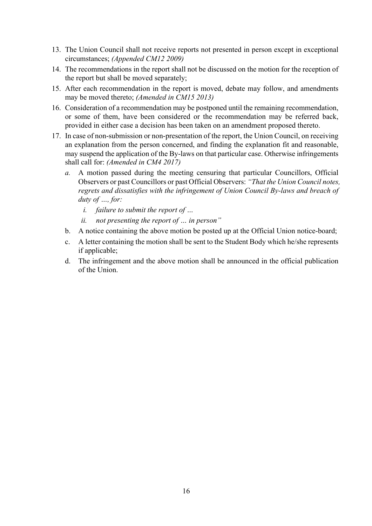- 13. The Union Council shall not receive reports not presented in person except in exceptional circumstances; *(Appended CM12 2009)*
- 14. The recommendations in the report shall not be discussed on the motion for the reception of the report but shall be moved separately;
- 15. After each recommendation in the report is moved, debate may follow, and amendments may be moved thereto; *(Amended in CM15 2013)*
- 16. Consideration of a recommendation may be postponed until the remaining recommendation, or some of them, have been considered or the recommendation may be referred back, provided in either case a decision has been taken on an amendment proposed thereto.
- 17. In case of non-submission or non-presentation of the report, the Union Council, on receiving an explanation from the person concerned, and finding the explanation fit and reasonable, may suspend the application of the By-laws on that particular case. Otherwise infringements shall call for: *(Amended in CM4 2017)*
	- *a.* A motion passed during the meeting censuring that particular Councillors, Official Observers or past Councillors or past Official Observers: *"That the Union Council notes, regrets and dissatisfies with the infringement of Union Council By-laws and breach of duty of …, for:* 
		- *i. failure to submit the report of …*
		- *ii. not presenting the report of … in person"*
	- b. A notice containing the above motion be posted up at the Official Union notice-board;
	- c. A letter containing the motion shall be sent to the Student Body which he/she represents if applicable;
	- d. The infringement and the above motion shall be announced in the official publication of the Union.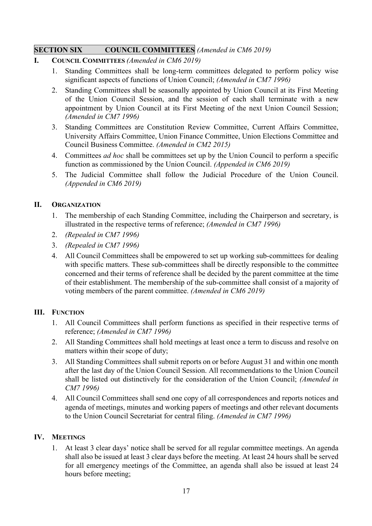## **SECTION SIX COUNCIL COMMITTEES** *(Amended in CM6 2019)*

- **I. COUNCIL COMMITTEES** *(Amended in CM6 2019)*
	- 1. Standing Committees shall be long-term committees delegated to perform policy wise significant aspects of functions of Union Council; *(Amended in CM7 1996)*
	- 2. Standing Committees shall be seasonally appointed by Union Council at its First Meeting of the Union Council Session, and the session of each shall terminate with a new appointment by Union Council at its First Meeting of the next Union Council Session; *(Amended in CM7 1996)*
	- 3. Standing Committees are Constitution Review Committee, Current Affairs Committee, University Affairs Committee, Union Finance Committee, Union Elections Committee and Council Business Committee. *(Amended in CM2 2015)*
	- 4. Committees *ad hoc* shall be committees set up by the Union Council to perform a specific function as commissioned by the Union Council. *(Appended in CM6 2019)*
	- 5. The Judicial Committee shall follow the Judicial Procedure of the Union Council. *(Appended in CM6 2019)*

## **II. ORGANIZATION**

- 1. The membership of each Standing Committee, including the Chairperson and secretary, is illustrated in the respective terms of reference; *(Amended in CM7 1996)*
- 2. *(Repealed in CM7 1996)*
- 3. *(Repealed in CM7 1996)*
- 4. All Council Committees shall be empowered to set up working sub-committees for dealing with specific matters. These sub-committees shall be directly responsible to the committee concerned and their terms of reference shall be decided by the parent committee at the time of their establishment. The membership of the sub-committee shall consist of a majority of voting members of the parent committee. *(Amended in CM6 2019)*

## **III. FUNCTION**

- 1. All Council Committees shall perform functions as specified in their respective terms of reference; *(Amended in CM7 1996)*
- 2. All Standing Committees shall hold meetings at least once a term to discuss and resolve on matters within their scope of duty;
- 3. All Standing Committees shall submit reports on or before August 31 and within one month after the last day of the Union Council Session. All recommendations to the Union Council shall be listed out distinctively for the consideration of the Union Council; *(Amended in CM7 1996)*
- 4. All Council Committees shall send one copy of all correspondences and reports notices and agenda of meetings, minutes and working papers of meetings and other relevant documents to the Union Council Secretariat for central filing. *(Amended in CM7 1996)*

## **IV. MEETINGS**

1. At least 3 clear days' notice shall be served for all regular committee meetings. An agenda shall also be issued at least 3 clear days before the meeting. At least 24 hours shall be served for all emergency meetings of the Committee, an agenda shall also be issued at least 24 hours before meeting;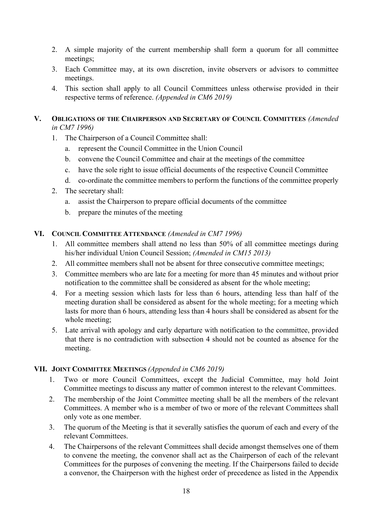- 2. A simple majority of the current membership shall form a quorum for all committee meetings;
- 3. Each Committee may, at its own discretion, invite observers or advisors to committee meetings.
- 4. This section shall apply to all Council Committees unless otherwise provided in their respective terms of reference. *(Appended in CM6 2019)*

#### **V. OBLIGATIONS OF THE CHAIRPERSON AND SECRETARY OF COUNCIL COMMITTEES** *(Amended in CM7 1996)*

- 1. The Chairperson of a Council Committee shall:
	- a. represent the Council Committee in the Union Council
	- b. convene the Council Committee and chair at the meetings of the committee
	- c. have the sole right to issue official documents of the respective Council Committee
	- d. co-ordinate the committee members to perform the functions of the committee properly
- 2. The secretary shall:
	- a. assist the Chairperson to prepare official documents of the committee
	- b. prepare the minutes of the meeting

## **VI. COUNCIL COMMITTEE ATTENDANCE** *(Amended in CM7 1996)*

- 1. All committee members shall attend no less than 50% of all committee meetings during his/her individual Union Council Session; *(Amended in CM15 2013)*
- 2. All committee members shall not be absent for three consecutive committee meetings;
- 3. Committee members who are late for a meeting for more than 45 minutes and without prior notification to the committee shall be considered as absent for the whole meeting;
- 4. For a meeting session which lasts for less than 6 hours, attending less than half of the meeting duration shall be considered as absent for the whole meeting; for a meeting which lasts for more than 6 hours, attending less than 4 hours shall be considered as absent for the whole meeting;
- 5. Late arrival with apology and early departure with notification to the committee, provided that there is no contradiction with subsection 4 should not be counted as absence for the meeting.

## **VII. JOINT COMMITTEE MEETINGS** *(Appended in CM6 2019)*

- 1. Two or more Council Committees, except the Judicial Committee, may hold Joint Committee meetings to discuss any matter of common interest to the relevant Committees.
- 2. The membership of the Joint Committee meeting shall be all the members of the relevant Committees. A member who is a member of two or more of the relevant Committees shall only vote as one member.
- 3. The quorum of the Meeting is that it severally satisfies the quorum of each and every of the relevant Committees.
- 4. The Chairpersons of the relevant Committees shall decide amongst themselves one of them to convene the meeting, the convenor shall act as the Chairperson of each of the relevant Committees for the purposes of convening the meeting. If the Chairpersons failed to decide a convenor, the Chairperson with the highest order of precedence as listed in the Appendix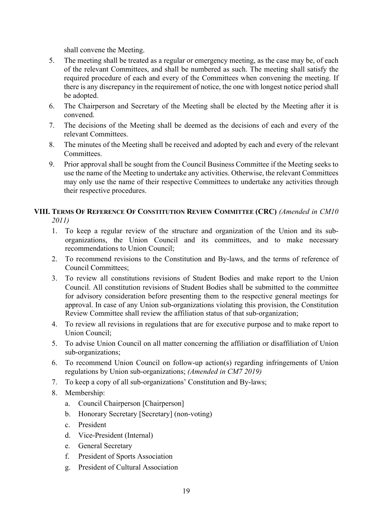shall convene the Meeting.

- 5. The meeting shall be treated as a regular or emergency meeting, as the case may be, of each of the relevant Committees, and shall be numbered as such. The meeting shall satisfy the required procedure of each and every of the Committees when convening the meeting. If there is any discrepancy in the requirement of notice, the one with longest notice period shall be adopted.
- 6. The Chairperson and Secretary of the Meeting shall be elected by the Meeting after it is convened.
- 7. The decisions of the Meeting shall be deemed as the decisions of each and every of the relevant Committees.
- 8. The minutes of the Meeting shall be received and adopted by each and every of the relevant Committees.
- 9. Prior approval shall be sought from the Council Business Committee if the Meeting seeks to use the name of the Meeting to undertake any activities. Otherwise, the relevant Committees may only use the name of their respective Committees to undertake any activities through their respective procedures.

## **VIII. TERMS OF REFERENCE OF CONSTITUTION REVIEW COMMITTEE (CRC)** *(Amended in CM10 2011)*

- 
- 1. To keep a regular review of the structure and organization of the Union and its suborganizations, the Union Council and its committees, and to make necessary recommendations to Union Council;
- 2. To recommend revisions to the Constitution and By-laws, and the terms of reference of Council Committees;
- 3. To review all constitutions revisions of Student Bodies and make report to the Union Council. All constitution revisions of Student Bodies shall be submitted to the committee for advisory consideration before presenting them to the respective general meetings for approval. In case of any Union sub-organizations violating this provision, the Constitution Review Committee shall review the affiliation status of that sub-organization;
- 4. To review all revisions in regulations that are for executive purpose and to make report to Union Council;
- 5. To advise Union Council on all matter concerning the affiliation or disaffiliation of Union sub-organizations;
- 6. To recommend Union Council on follow-up action(s) regarding infringements of Union regulations by Union sub-organizations; *(Amended in CM7 2019)*
- 7. To keep a copy of all sub-organizations' Constitution and By-laws;
- 8. Membership:
	- a. Council Chairperson [Chairperson]
	- b. Honorary Secretary [Secretary] (non-voting)
	- c. President
	- d. Vice-President (Internal)
	- e. General Secretary
	- f. President of Sports Association
	- g. President of Cultural Association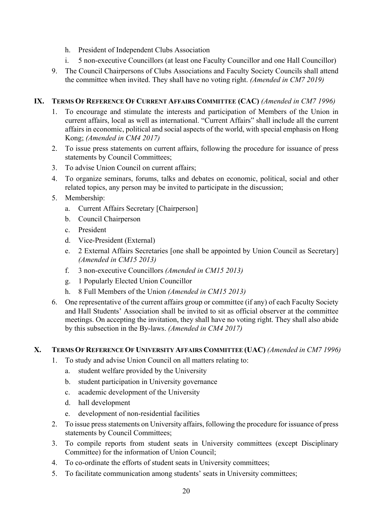- h. President of Independent Clubs Association
- i. 5 non-executive Councillors (at least one Faculty Councillor and one Hall Councillor)
- 9. The Council Chairpersons of Clubs Associations and Faculty Society Councils shall attend the committee when invited. They shall have no voting right. *(Amended in CM7 2019)*

## **IX. TERMS OF REFERENCE OF CURRENT AFFAIRS COMMITTEE (CAC)** *(Amended in CM7 1996)*

- 1. To encourage and stimulate the interests and participation of Members of the Union in current affairs, local as well as international. "Current Affairs" shall include all the current affairs in economic, political and social aspects of the world, with special emphasis on Hong Kong; *(Amended in CM4 2017)*
- 2. To issue press statements on current affairs, following the procedure for issuance of press statements by Council Committees;
- 3. To advise Union Council on current affairs;
- 4. To organize seminars, forums, talks and debates on economic, political, social and other related topics, any person may be invited to participate in the discussion;
- 5. Membership:
	- a. Current Affairs Secretary [Chairperson]
	- b. Council Chairperson
	- c. President
	- d. Vice-President (External)
	- e. 2 External Affairs Secretaries [one shall be appointed by Union Council as Secretary] *(Amended in CM15 2013)*
	- f. 3 non-executive Councillors *(Amended in CM15 2013)*
	- g. 1 Popularly Elected Union Councillor
	- h. 8 Full Members of the Union *(Amended in CM15 2013)*
- 6. One representative of the current affairs group or committee (if any) of each Faculty Society and Hall Students' Association shall be invited to sit as official observer at the committee meetings. On accepting the invitation, they shall have no voting right. They shall also abide by this subsection in the By-laws. *(Amended in CM4 2017)*

## **X. TERMS OF REFERENCE OF UNIVERSITY AFFAIRS COMMITTEE (UAC)** *(Amended in CM7 1996)*

- 1. To study and advise Union Council on all matters relating to:
	- a. student welfare provided by the University
	- b. student participation in University governance
	- c. academic development of the University
	- d. hall development
	- e. development of non-residential facilities
- 2. To issue press statements on University affairs, following the procedure for issuance of press statements by Council Committees;
- 3. To compile reports from student seats in University committees (except Disciplinary Committee) for the information of Union Council;
- 4. To co-ordinate the efforts of student seats in University committees;
- 5. To facilitate communication among students' seats in University committees;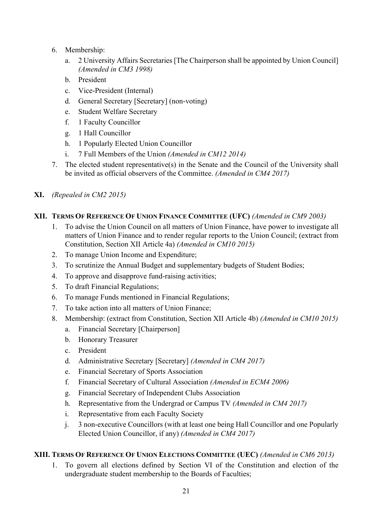- 6. Membership:
	- a. 2 University Affairs Secretaries [The Chairperson shall be appointed by Union Council] *(Amended in CM3 1998)*
	- b. President
	- c. Vice-President (Internal)
	- d. General Secretary [Secretary] (non-voting)
	- e. Student Welfare Secretary
	- f. 1 Faculty Councillor
	- g. 1 Hall Councillor
	- h. 1 Popularly Elected Union Councillor
	- i. 7 Full Members of the Union *(Amended in CM12 2014)*
- 7. The elected student representative(s) in the Senate and the Council of the University shall be invited as official observers of the Committee. *(Amended in CM4 2017)*
- **XI.** *(Repealed in CM2 2015)*

## **XII. TERMS OF REFERENCE OF UNION FINANCE COMMITTEE (UFC)** *(Amended in CM9 2003)*

- 1. To advise the Union Council on all matters of Union Finance, have power to investigate all matters of Union Finance and to render regular reports to the Union Council; (extract from Constitution, Section XII Article 4a) *(Amended in CM10 2015)*
- 2. To manage Union Income and Expenditure;
- 3. To scrutinize the Annual Budget and supplementary budgets of Student Bodies;
- 4. To approve and disapprove fund-raising activities;
- 5. To draft Financial Regulations;
- 6. To manage Funds mentioned in Financial Regulations;
- 7. To take action into all matters of Union Finance;
- 8. Membership: (extract from Constitution, Section XII Article 4b) *(Amended in CM10 2015)*
	- a. Financial Secretary [Chairperson]
	- b. Honorary Treasurer
	- c. President
	- d. Administrative Secretary [Secretary] *(Amended in CM4 2017)*
	- e. Financial Secretary of Sports Association
	- f. Financial Secretary of Cultural Association *(Amended in ECM4 2006)*
	- g. Financial Secretary of Independent Clubs Association
	- h. Representative from the Undergrad or Campus TV *(Amended in CM4 2017)*
	- i. Representative from each Faculty Society
	- j. 3 non-executive Councillors (with at least one being Hall Councillor and one Popularly Elected Union Councillor, if any) *(Amended in CM4 2017)*

## **XIII. TERMS OF REFERENCE OF UNION ELECTIONS COMMITTEE (UEC)** *(Amended in CM6 2013)*

1. To govern all elections defined by Section VI of the Constitution and election of the undergraduate student membership to the Boards of Faculties;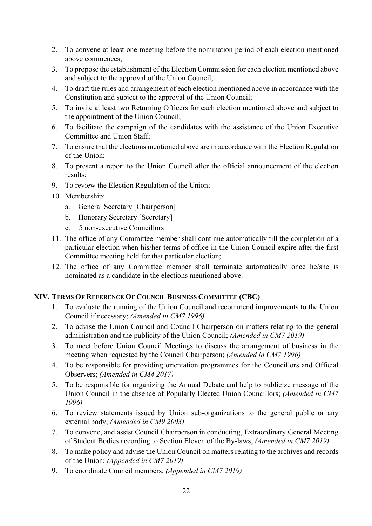- 2. To convene at least one meeting before the nomination period of each election mentioned above commences;
- 3. To propose the establishment of the Election Commission for each election mentioned above and subject to the approval of the Union Council;
- 4. To draft the rules and arrangement of each election mentioned above in accordance with the Constitution and subject to the approval of the Union Council;
- 5. To invite at least two Returning Officers for each election mentioned above and subject to the appointment of the Union Council;
- 6. To facilitate the campaign of the candidates with the assistance of the Union Executive Committee and Union Staff;
- 7. To ensure that the elections mentioned above are in accordance with the Election Regulation of the Union;
- 8. To present a report to the Union Council after the official announcement of the election results;
- 9. To review the Election Regulation of the Union;
- 10. Membership:
	- a. General Secretary [Chairperson]
	- b. Honorary Secretary [Secretary]
	- c. 5 non-executive Councillors
- 11. The office of any Committee member shall continue automatically till the completion of a particular election when his/her terms of office in the Union Council expire after the first Committee meeting held for that particular election;
- 12. The office of any Committee member shall terminate automatically once he/she is nominated as a candidate in the elections mentioned above.

## **XIV. TERMS OF REFERENCE OF COUNCIL BUSINESS COMMITTEE (CBC)**

- 1. To evaluate the running of the Union Council and recommend improvements to the Union Council if necessary; *(Amended in CM7 1996)*
- 2. To advise the Union Council and Council Chairperson on matters relating to the general administration and the publicity of the Union Council; *(Amended in CM7 2019)*
- 3. To meet before Union Council Meetings to discuss the arrangement of business in the meeting when requested by the Council Chairperson; *(Amended in CM7 1996)*
- 4. To be responsible for providing orientation programmes for the Councillors and Official Observers; *(Amended in CM4 2017)*
- 5. To be responsible for organizing the Annual Debate and help to publicize message of the Union Council in the absence of Popularly Elected Union Councillors; *(Amended in CM7 1996)*
- 6. To review statements issued by Union sub-organizations to the general public or any external body; *(Amended in CM9 2003)*
- 7. To convene, and assist Council Chairperson in conducting, Extraordinary General Meeting of Student Bodies according to Section Eleven of the By-laws; *(Amended in CM7 2019)*
- 8. To make policy and advise the Union Council on matters relating to the archives and records of the Union; *(Appended in CM7 2019)*
- 9. To coordinate Council members. *(Appended in CM7 2019)*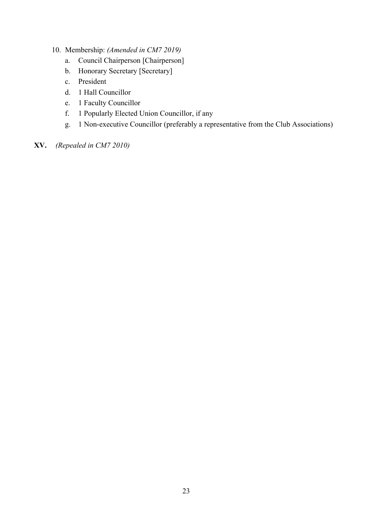- 10. Membership: *(Amended in CM7 2019)*
	- a. Council Chairperson [Chairperson]
	- b. Honorary Secretary [Secretary]
	- c. President
	- d. 1 Hall Councillor
	- e. 1 Faculty Councillor
	- f. 1 Popularly Elected Union Councillor, if any
	- g. 1 Non-executive Councillor (preferably a representative from the Club Associations)
- **XV.** *(Repealed in CM7 2010)*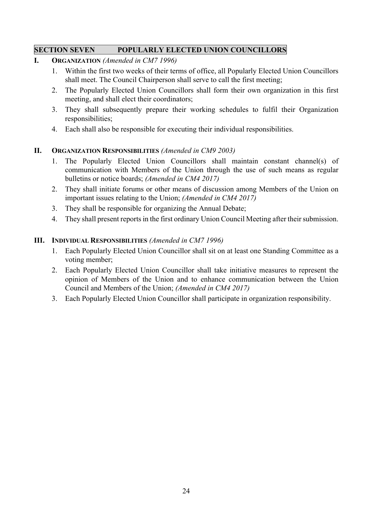## **SECTION SEVEN POPULARLY ELECTED UNION COUNCILLORS**

- **I. ORGANIZATION** *(Amended in CM7 1996)*
	- 1. Within the first two weeks of their terms of office, all Popularly Elected Union Councillors shall meet. The Council Chairperson shall serve to call the first meeting;
	- 2. The Popularly Elected Union Councillors shall form their own organization in this first meeting, and shall elect their coordinators;
	- 3. They shall subsequently prepare their working schedules to fulfil their Organization responsibilities;
	- 4. Each shall also be responsible for executing their individual responsibilities.

## **II. ORGANIZATION RESPONSIBILITIES** *(Amended in CM9 2003)*

- 1. The Popularly Elected Union Councillors shall maintain constant channel(s) of communication with Members of the Union through the use of such means as regular bulletins or notice boards; *(Amended in CM4 2017)*
- 2. They shall initiate forums or other means of discussion among Members of the Union on important issues relating to the Union; *(Amended in CM4 2017)*
- 3. They shall be responsible for organizing the Annual Debate;
- 4. They shall present reports in the first ordinary Union Council Meeting after their submission.

## **III. INDIVIDUAL RESPONSIBILITIES** *(Amended in CM7 1996)*

- 1. Each Popularly Elected Union Councillor shall sit on at least one Standing Committee as a voting member;
- 2. Each Popularly Elected Union Councillor shall take initiative measures to represent the opinion of Members of the Union and to enhance communication between the Union Council and Members of the Union; *(Amended in CM4 2017)*
- 3. Each Popularly Elected Union Councillor shall participate in organization responsibility.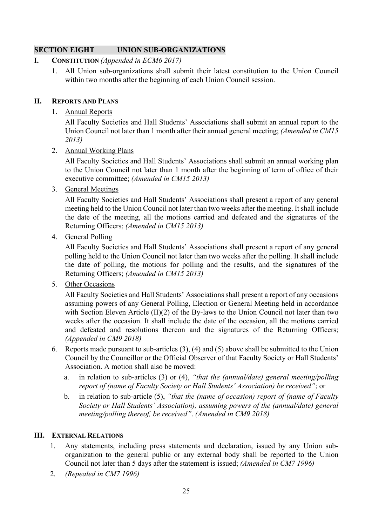## **SECTION EIGHT UNION SUB-ORGANIZATIONS**

#### **I. CONSTITUTION** *(Appended in ECM6 2017)*

1. All Union sub-organizations shall submit their latest constitution to the Union Council within two months after the beginning of each Union Council session.

#### **II. REPORTS AND PLANS**

#### 1. Annual Reports

All Faculty Societies and Hall Students' Associations shall submit an annual report to the Union Council not later than 1 month after their annual general meeting; *(Amended in CM15 2013)*

2. Annual Working Plans

All Faculty Societies and Hall Students' Associations shall submit an annual working plan to the Union Council not later than 1 month after the beginning of term of office of their executive committee; *(Amended in CM15 2013)*

3. General Meetings

All Faculty Societies and Hall Students' Associations shall present a report of any general meeting held to the Union Council not later than two weeks after the meeting. It shall include the date of the meeting, all the motions carried and defeated and the signatures of the Returning Officers; *(Amended in CM15 2013)*

4. General Polling

All Faculty Societies and Hall Students' Associations shall present a report of any general polling held to the Union Council not later than two weeks after the polling. It shall include the date of polling, the motions for polling and the results, and the signatures of the Returning Officers; *(Amended in CM15 2013)*

5. Other Occasions

All Faculty Societies and Hall Students' Associations shall present a report of any occasions assuming powers of any General Polling, Election or General Meeting held in accordance with Section Eleven Article (II)(2) of the By-laws to the Union Council not later than two weeks after the occasion. It shall include the date of the occasion, all the motions carried and defeated and resolutions thereon and the signatures of the Returning Officers; *(Appended in CM9 2018)*

- 6. Reports made pursuant to sub-articles (3), (4) and (5) above shall be submitted to the Union Council by the Councillor or the Official Observer of that Faculty Society or Hall Students' Association. A motion shall also be moved:
	- a. in relation to sub-articles (3) or (4), *"that the (annual/date) general meeting/polling report of (name of Faculty Society or Hall Students' Association) be received"*; or
	- b. in relation to sub-article (5), *"that the (name of occasion) report of (name of Faculty Society or Hall Students' Association), assuming powers of the (annual/date) general meeting/polling thereof, be received"*. *(Amended in CM9 2018)*

## **III. EXTERNAL RELATIONS**

- 1. Any statements, including press statements and declaration, issued by any Union suborganization to the general public or any external body shall be reported to the Union Council not later than 5 days after the statement is issued; *(Amended in CM7 1996)*
- 2. *(Repealed in CM7 1996)*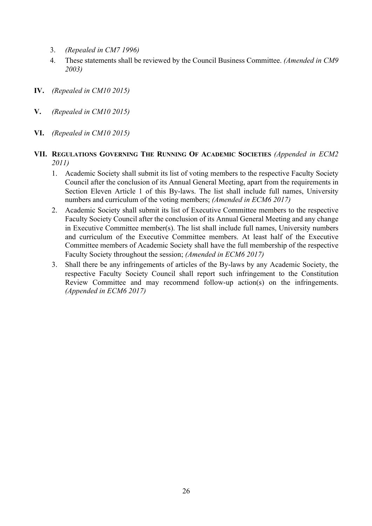- 3. *(Repealed in CM7 1996)*
- 4. These statements shall be reviewed by the Council Business Committee. *(Amended in CM9 2003)*
- **IV.** *(Repealed in CM10 2015)*
- **V.** *(Repealed in CM10 2015)*
- **VI.** *(Repealed in CM10 2015)*
- **VII. REGULATIONS GOVERNING THE RUNNING OF ACADEMIC SOCIETIES** *(Appended in ECM2 2011)*
	- 1. Academic Society shall submit its list of voting members to the respective Faculty Society Council after the conclusion of its Annual General Meeting, apart from the requirements in Section Eleven Article 1 of this By-laws. The list shall include full names, University numbers and curriculum of the voting members; *(Amended in ECM6 2017)*
	- 2. Academic Society shall submit its list of Executive Committee members to the respective Faculty Society Council after the conclusion of its Annual General Meeting and any change in Executive Committee member(s). The list shall include full names, University numbers and curriculum of the Executive Committee members. At least half of the Executive Committee members of Academic Society shall have the full membership of the respective Faculty Society throughout the session; *(Amended in ECM6 2017)*
	- 3. Shall there be any infringements of articles of the By-laws by any Academic Society, the respective Faculty Society Council shall report such infringement to the Constitution Review Committee and may recommend follow-up action(s) on the infringements. *(Appended in ECM6 2017)*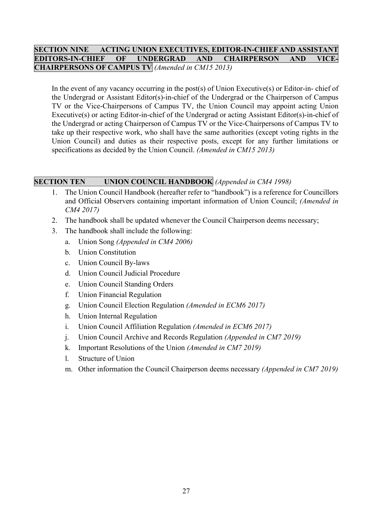## **SECTION NINE ACTING UNION EXECUTIVES, EDITOR-IN-CHIEF AND ASSISTANT EDITORS-IN-CHIEF OF UNDERGRAD AND CHAIRPERSON AND CHAIRPERSONS OF CAMPUS TV** *(Amended in CM15 2013)*

In the event of any vacancy occurring in the post(s) of Union Executive(s) or Editor-in- chief of the Undergrad or Assistant Editor(s)-in-chief of the Undergrad or the Chairperson of Campus TV or the Vice-Chairpersons of Campus TV, the Union Council may appoint acting Union Executive(s) or acting Editor-in-chief of the Undergrad or acting Assistant Editor(s)-in-chief of the Undergrad or acting Chairperson of Campus TV or the Vice-Chairpersons of Campus TV to take up their respective work, who shall have the same authorities (except voting rights in the Union Council) and duties as their respective posts, except for any further limitations or specifications as decided by the Union Council. *(Amended in CM15 2013)*

## **SECTION TEN UNION COUNCIL HANDBOOK** *(Appended in CM4 1998)*

- 1. The Union Council Handbook (hereafter refer to "handbook") is a reference for Councillors and Official Observers containing important information of Union Council; *(Amended in CM4 2017)*
- 2. The handbook shall be updated whenever the Council Chairperson deems necessary;
- 3. The handbook shall include the following:
	- a. Union Song *(Appended in CM4 2006)*
	- b. Union Constitution
	- c. Union Council By-laws
	- d. Union Council Judicial Procedure
	- e. Union Council Standing Orders
	- f. Union Financial Regulation
	- g. Union Council Election Regulation *(Amended in ECM6 2017)*
	- h. Union Internal Regulation
	- i. Union Council Affiliation Regulation *(Amended in ECM6 2017)*
	- j. Union Council Archive and Records Regulation *(Appended in CM7 2019)*
	- k. Important Resolutions of the Union *(Amended in CM7 2019)*
	- l. Structure of Union
	- m. Other information the Council Chairperson deems necessary *(Appended in CM7 2019)*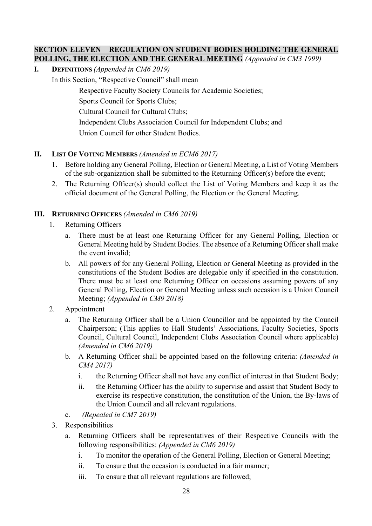## **SECTION ELEVEN REGULATION ON STUDENT BODIES HOLDING THE GENERAL POLLING, THE ELECTION AND THE GENERAL MEETING** *(Appended in CM3 1999)*

**I. DEFINITIONS** *(Appended in CM6 2019)*

In this Section, "Respective Council" shall mean

Respective Faculty Society Councils for Academic Societies;

Sports Council for Sports Clubs;

Cultural Council for Cultural Clubs;

Independent Clubs Association Council for Independent Clubs; and

Union Council for other Student Bodies.

## **II. LIST OF VOTING MEMBERS** *(Amended in ECM6 2017)*

- 1. Before holding any General Polling, Election or General Meeting, a List of Voting Members of the sub-organization shall be submitted to the Returning Officer(s) before the event;
- 2. The Returning Officer(s) should collect the List of Voting Members and keep it as the official document of the General Polling, the Election or the General Meeting.

## **III. RETURNING OFFICERS** *(Amended in CM6 2019)*

- 1. Returning Officers
	- a. There must be at least one Returning Officer for any General Polling, Election or General Meeting held by Student Bodies. The absence of a Returning Officer shall make the event invalid;
	- b. All powers of for any General Polling, Election or General Meeting as provided in the constitutions of the Student Bodies are delegable only if specified in the constitution. There must be at least one Returning Officer on occasions assuming powers of any General Polling, Election or General Meeting unless such occasion is a Union Council Meeting; *(Appended in CM9 2018)*
- 2. Appointment
	- a. The Returning Officer shall be a Union Councillor and be appointed by the Council Chairperson; (This applies to Hall Students' Associations, Faculty Societies, Sports Council, Cultural Council, Independent Clubs Association Council where applicable) *(Amended in CM6 2019)*
	- b. A Returning Officer shall be appointed based on the following criteria: *(Amended in CM4 2017)*
		- i. the Returning Officer shall not have any conflict of interest in that Student Body;
		- ii. the Returning Officer has the ability to supervise and assist that Student Body to exercise its respective constitution, the constitution of the Union, the By-laws of the Union Council and all relevant regulations.
	- c. *(Repealed in CM7 2019)*
- 3. Responsibilities
	- a. Returning Officers shall be representatives of their Respective Councils with the following responsibilities: *(Appended in CM6 2019)*
		- i. To monitor the operation of the General Polling, Election or General Meeting;
		- ii. To ensure that the occasion is conducted in a fair manner;
		- iii. To ensure that all relevant regulations are followed;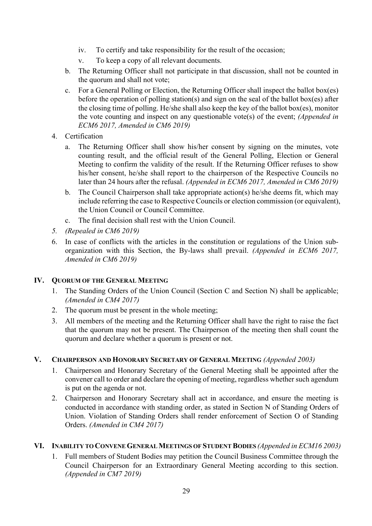- iv. To certify and take responsibility for the result of the occasion;
- v. To keep a copy of all relevant documents.
- b. The Returning Officer shall not participate in that discussion, shall not be counted in the quorum and shall not vote;
- c. For a General Polling or Election, the Returning Officer shall inspect the ballot box(es) before the operation of polling station(s) and sign on the seal of the ballot box(es) after the closing time of polling. He/she shall also keep the key of the ballot box(es), monitor the vote counting and inspect on any questionable vote(s) of the event; *(Appended in ECM6 2017, Amended in CM6 2019)*
- 4. Certification
	- a. The Returning Officer shall show his/her consent by signing on the minutes, vote counting result, and the official result of the General Polling, Election or General Meeting to confirm the validity of the result. If the Returning Officer refuses to show his/her consent, he/she shall report to the chairperson of the Respective Councils no later than 24 hours after the refusal. *(Appended in ECM6 2017, Amended in CM6 2019)*
	- b. The Council Chairperson shall take appropriate action(s) he/she deems fit, which may include referring the case to Respective Councils or election commission (or equivalent), the Union Council or Council Committee.
	- c. The final decision shall rest with the Union Council.
- *5. (Repealed in CM6 2019)*
- 6. In case of conflicts with the articles in the constitution or regulations of the Union suborganization with this Section, the By-laws shall prevail. *(Appended in ECM6 2017, Amended in CM6 2019)*

## **IV. QUORUM OF THE GENERAL MEETING**

- 1. The Standing Orders of the Union Council (Section C and Section N) shall be applicable; *(Amended in CM4 2017)*
- 2. The quorum must be present in the whole meeting;
- 3. All members of the meeting and the Returning Officer shall have the right to raise the fact that the quorum may not be present. The Chairperson of the meeting then shall count the quorum and declare whether a quorum is present or not.

## **V. CHAIRPERSON AND HONORARY SECRETARY OF GENERAL MEETING** *(Appended 2003)*

- 1. Chairperson and Honorary Secretary of the General Meeting shall be appointed after the convener call to order and declare the opening of meeting, regardless whether such agendum is put on the agenda or not.
- 2. Chairperson and Honorary Secretary shall act in accordance, and ensure the meeting is conducted in accordance with standing order, as stated in Section N of Standing Orders of Union. Violation of Standing Orders shall render enforcement of Section O of Standing Orders. *(Amended in CM4 2017)*

## **VI. INABILITY TO CONVENE GENERAL MEETINGS OF STUDENT BODIES** *(Appended in ECM16 2003)*

1. Full members of Student Bodies may petition the Council Business Committee through the Council Chairperson for an Extraordinary General Meeting according to this section. *(Appended in CM7 2019)*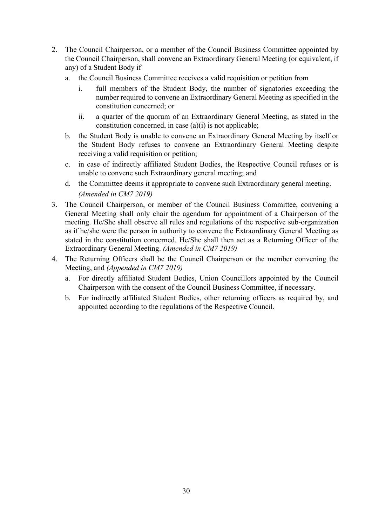- 2. The Council Chairperson, or a member of the Council Business Committee appointed by the Council Chairperson, shall convene an Extraordinary General Meeting (or equivalent, if any) of a Student Body if
	- a. the Council Business Committee receives a valid requisition or petition from
		- i. full members of the Student Body, the number of signatories exceeding the number required to convene an Extraordinary General Meeting as specified in the constitution concerned; or
		- ii. a quarter of the quorum of an Extraordinary General Meeting, as stated in the constitution concerned, in case (a)(i) is not applicable;
	- b. the Student Body is unable to convene an Extraordinary General Meeting by itself or the Student Body refuses to convene an Extraordinary General Meeting despite receiving a valid requisition or petition;
	- c. in case of indirectly affiliated Student Bodies, the Respective Council refuses or is unable to convene such Extraordinary general meeting; and
	- d. the Committee deems it appropriate to convene such Extraordinary general meeting. *(Amended in CM7 2019)*
- 3. The Council Chairperson, or member of the Council Business Committee, convening a General Meeting shall only chair the agendum for appointment of a Chairperson of the meeting. He/She shall observe all rules and regulations of the respective sub-organization as if he/she were the person in authority to convene the Extraordinary General Meeting as stated in the constitution concerned. He/She shall then act as a Returning Officer of the Extraordinary General Meeting. *(Amended in CM7 2019)*
- 4. The Returning Officers shall be the Council Chairperson or the member convening the Meeting, and *(Appended in CM7 2019)*
	- a. For directly affiliated Student Bodies, Union Councillors appointed by the Council Chairperson with the consent of the Council Business Committee, if necessary.
	- b. For indirectly affiliated Student Bodies, other returning officers as required by, and appointed according to the regulations of the Respective Council.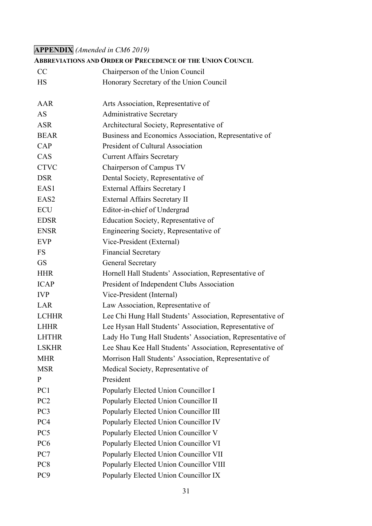# **APPENDIX** *(Amended in CM6 2019)*

|                  | <b>ABBREVIATIONS AND ORDER OF PRECEDENCE OF THE UNION COUNCIL</b> |
|------------------|-------------------------------------------------------------------|
| CC               | Chairperson of the Union Council                                  |
| <b>HS</b>        | Honorary Secretary of the Union Council                           |
| AAR              | Arts Association, Representative of                               |
| <b>AS</b>        | <b>Administrative Secretary</b>                                   |
| <b>ASR</b>       | Architectural Society, Representative of                          |
| <b>BEAR</b>      | Business and Economics Association, Representative of             |
| CAP              | President of Cultural Association                                 |
| CAS              | <b>Current Affairs Secretary</b>                                  |
| <b>CTVC</b>      | Chairperson of Campus TV                                          |
| <b>DSR</b>       | Dental Society, Representative of                                 |
| EAS1             | External Affairs Secretary I                                      |
| EAS <sub>2</sub> | External Affairs Secretary II                                     |
| ECU              | Editor-in-chief of Undergrad                                      |
| <b>EDSR</b>      | Education Society, Representative of                              |
| <b>ENSR</b>      | Engineering Society, Representative of                            |
| EVP              | Vice-President (External)                                         |
| <b>FS</b>        | <b>Financial Secretary</b>                                        |
| <b>GS</b>        | <b>General Secretary</b>                                          |
| <b>HHR</b>       | Hornell Hall Students' Association, Representative of             |
| <b>ICAP</b>      | President of Independent Clubs Association                        |
| <b>IVP</b>       | Vice-President (Internal)                                         |
| LAR              | Law Association, Representative of                                |
| <b>LCHHR</b>     | Lee Chi Hung Hall Students' Association, Representative of        |
| <b>LHHR</b>      | Lee Hysan Hall Students' Association, Representative of           |
| <b>LHTHR</b>     | Lady Ho Tung Hall Students' Association, Representative of        |
| <b>LSKHR</b>     | Lee Shau Kee Hall Students' Association, Representative of        |
| <b>MHR</b>       | Morrison Hall Students' Association, Representative of            |
| <b>MSR</b>       | Medical Society, Representative of                                |
| $\mathbf{P}$     | President                                                         |
| PC1              | Popularly Elected Union Councillor I                              |
| PC <sub>2</sub>  | Popularly Elected Union Councillor II                             |
| PC <sub>3</sub>  | Popularly Elected Union Councillor III                            |
| PC4              | Popularly Elected Union Councillor IV                             |
| PC5              | Popularly Elected Union Councillor V                              |
| PC <sub>6</sub>  | Popularly Elected Union Councillor VI                             |
| PC7              | Popularly Elected Union Councillor VII                            |
| PC <sub>8</sub>  | Popularly Elected Union Councillor VIII                           |
| PC <sub>9</sub>  | Popularly Elected Union Councillor IX                             |